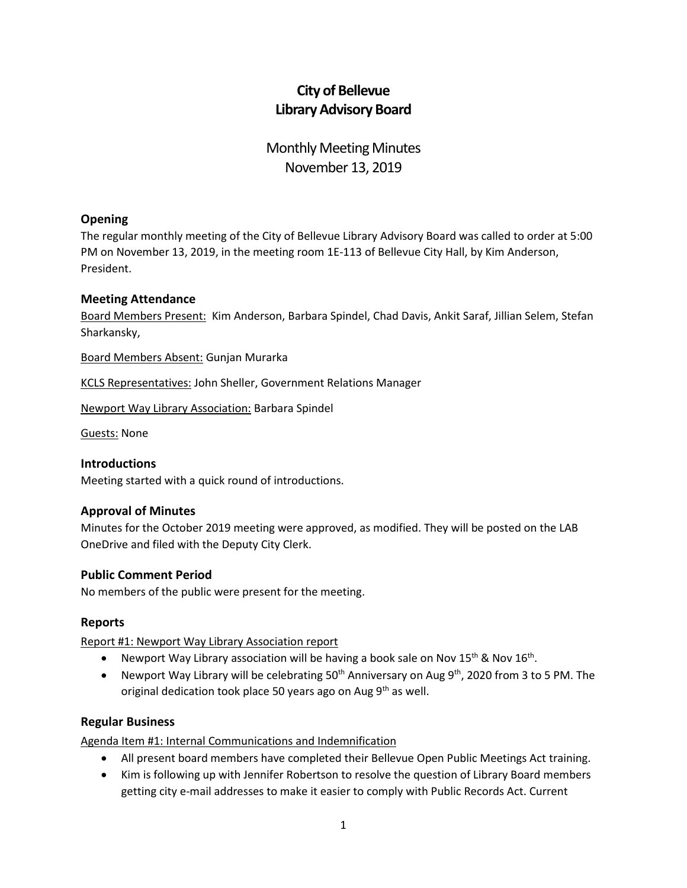# **City of Bellevue Library Advisory Board**

## Monthly Meeting Minutes November 13, 2019

### **Opening**

The regular monthly meeting of the City of Bellevue Library Advisory Board was called to order at 5:00 PM on November 13, 2019, in the meeting room 1E-113 of Bellevue City Hall, by Kim Anderson, President.

#### **Meeting Attendance**

Board Members Present: Kim Anderson, Barbara Spindel, Chad Davis, Ankit Saraf, Jillian Selem, Stefan Sharkansky,

Board Members Absent: Gunjan Murarka

KCLS Representatives: John Sheller, Government Relations Manager

Newport Way Library Association: Barbara Spindel

Guests: None

#### **Introductions**

Meeting started with a quick round of introductions.

#### **Approval of Minutes**

Minutes for the October 2019 meeting were approved, as modified. They will be posted on the LAB OneDrive and filed with the Deputy City Clerk.

#### **Public Comment Period**

No members of the public were present for the meeting.

#### **Reports**

Report #1: Newport Way Library Association report

- Newport Way Library association will be having a book sale on Nov 15<sup>th</sup> & Nov 16<sup>th</sup>.
- Newport Way Library will be celebrating 50<sup>th</sup> Anniversary on Aug 9<sup>th</sup>, 2020 from 3 to 5 PM. The original dedication took place 50 years ago on Aug  $9<sup>th</sup>$  as well.

#### **Regular Business**

Agenda Item #1: Internal Communications and Indemnification

- All present board members have completed their Bellevue Open Public Meetings Act training.
- Kim is following up with Jennifer Robertson to resolve the question of Library Board members getting city e-mail addresses to make it easier to comply with Public Records Act. Current